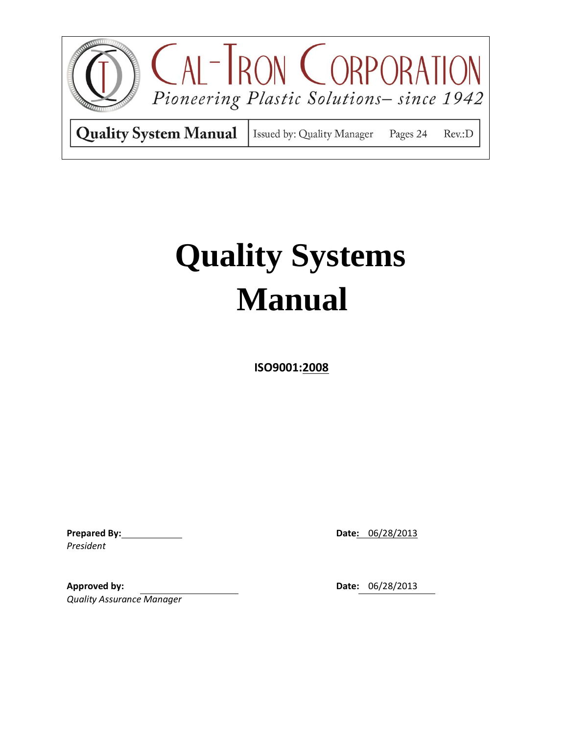

 **ISO9001:2008**

**Prepared By: Date:** 06/28/2013 *President*

**Approved by: Date:** 06/28/2013 *Quality Assurance Manager*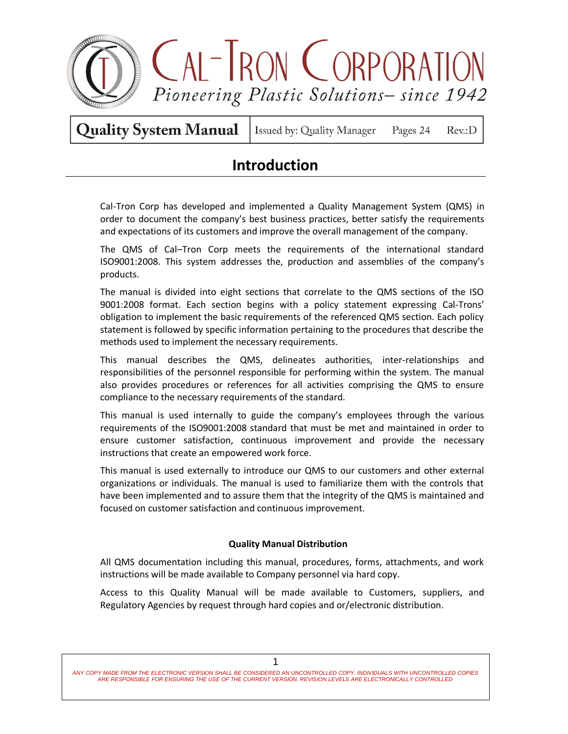

Issued by: Quality Manager Pages 24 Rev.:D

### **Introduction**

Cal-Tron Corp has developed and implemented a Quality Management System (QMS) in order to document the company's best business practices, better satisfy the requirements and expectations of its customers and improve the overall management of the company.

The QMS of Cal–Tron Corp meets the requirements of the international standard ISO9001:2008. This system addresses the, production and assemblies of the company's products.

The manual is divided into eight sections that correlate to the QMS sections of the ISO 9001:2008 format. Each section begins with a policy statement expressing Cal-Trons' obligation to implement the basic requirements of the referenced QMS section. Each policy statement is followed by specific information pertaining to the procedures that describe the methods used to implement the necessary requirements.

This manual describes the QMS, delineates authorities, inter-relationships and responsibilities of the personnel responsible for performing within the system. The manual also provides procedures or references for all activities comprising the QMS to ensure compliance to the necessary requirements of the standard.

This manual is used internally to guide the company's employees through the various requirements of the ISO9001:2008 standard that must be met and maintained in order to ensure customer satisfaction, continuous improvement and provide the necessary instructions that create an empowered work force.

This manual is used externally to introduce our QMS to our customers and other external organizations or individuals. The manual is used to familiarize them with the controls that have been implemented and to assure them that the integrity of the QMS is maintained and focused on customer satisfaction and continuous improvement.

### **Quality Manual Distribution**

All QMS documentation including this manual, procedures, forms, attachments, and work instructions will be made available to Company personnel via hard copy.

Access to this Quality Manual will be made available to Customers, suppliers, and Regulatory Agencies by request through hard copies and or/electronic distribution.

*ANY COPY MADE FROM THE ELECTRONIC VERSION SHALL BE CONSIDERED AN UNCONTROLLED COPY. INDIVIDUALS WITH UNCONTROLLED COPIES ARE RESPONSIBLE FOR ENSURING THE USE OF THE CURRENT VERSION. REVISION LEVELS ARE ELECTRONICALLY CONTROLLED*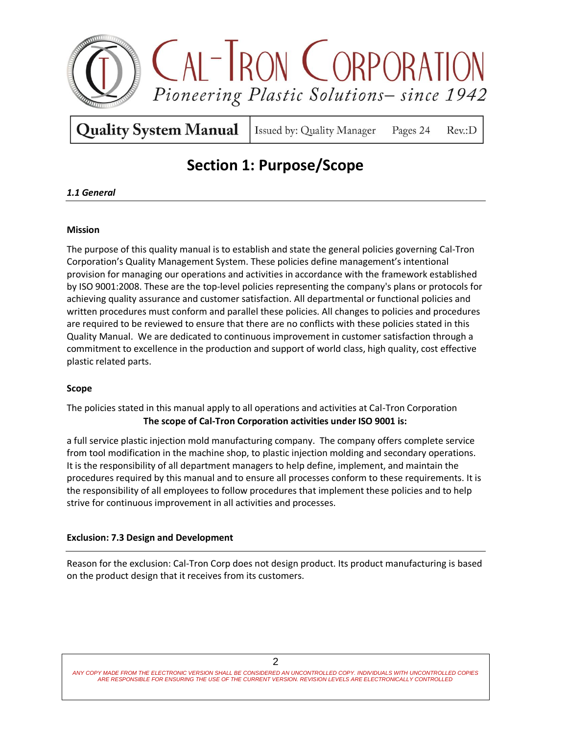

Issued by: Quality Manager Pages 24

 $Rev: D$ 

# **Section 1: Purpose/Scope**

### *1.1 General*

### **Mission**

The purpose of this quality manual is to establish and state the general policies governing Cal-Tron Corporation's Quality Management System. These policies define management's intentional provision for managing our operations and activities in accordance with the framework established by ISO 9001:2008. These are the top-level policies representing the company's plans or protocols for achieving quality assurance and customer satisfaction. All departmental or functional policies and written procedures must conform and parallel these policies. All changes to policies and procedures are required to be reviewed to ensure that there are no conflicts with these policies stated in this Quality Manual. We are dedicated to continuous improvement in customer satisfaction through a commitment to excellence in the production and support of world class, high quality, cost effective plastic related parts.

### **Scope**

The policies stated in this manual apply to all operations and activities at Cal-Tron Corporation **The scope of Cal-Tron Corporation activities under ISO 9001 is:**

a full service plastic injection mold manufacturing company. The company offers complete service from tool modification in the machine shop, to plastic injection molding and secondary operations. It is the responsibility of all department managers to help define, implement, and maintain the procedures required by this manual and to ensure all processes conform to these requirements. It is the responsibility of all employees to follow procedures that implement these policies and to help strive for continuous improvement in all activities and processes.

### **Exclusion: 7.3 Design and Development**

Reason for the exclusion: Cal-Tron Corp does not design product. Its product manufacturing is based on the product design that it receives from its customers.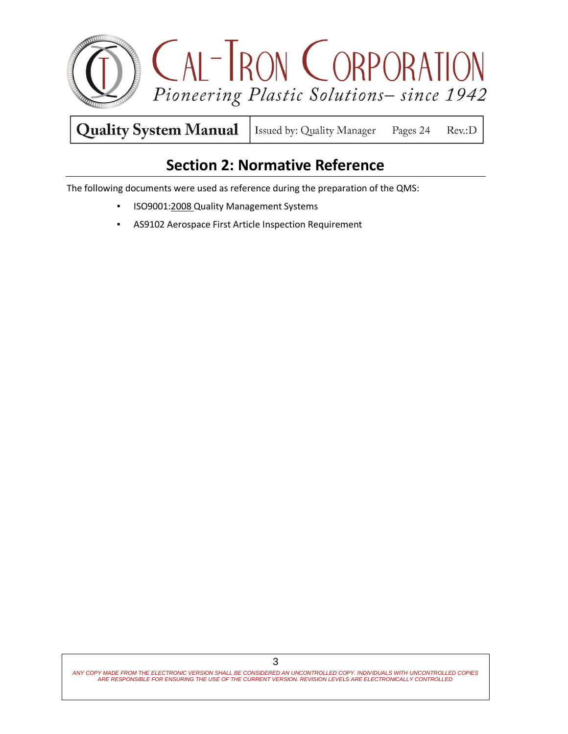

### **Section 2: Normative Reference**

The following documents were used as reference during the preparation of the QMS:

- **·** ISO9001:2008 Quality Management Systems
- AS9102 Aerospace First Article Inspection Requirement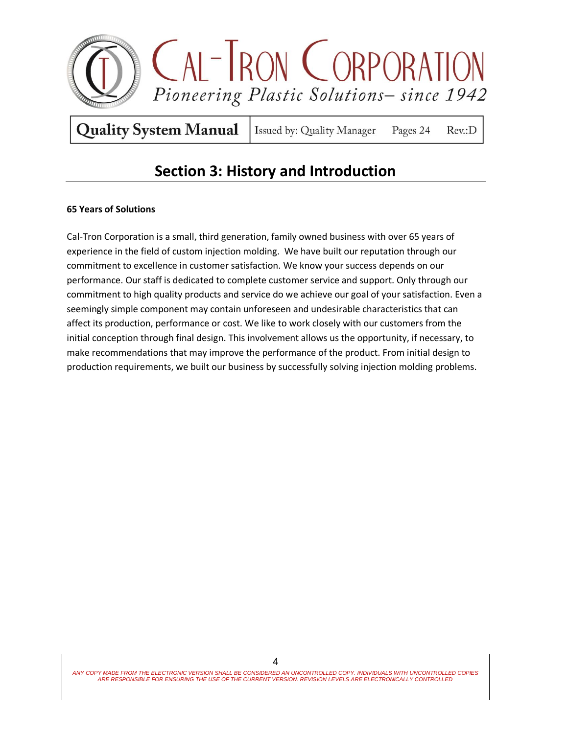

Issued by: Quality Manager Pages 24  $Rev: D$ 

### **Section 3: History and Introduction**

### **65 Years of Solutions**

Cal-Tron Corporation is a small, third generation, family owned business with over 65 years of experience in the field of custom injection molding. We have built our reputation through our commitment to excellence in customer satisfaction. We know your success depends on our performance. Our staff is dedicated to complete customer service and support. Only through our commitment to high quality products and service do we achieve our goal of your satisfaction. Even a seemingly simple component may contain unforeseen and undesirable characteristics that can affect its production, performance or cost. We like to work closely with our customers from the initial conception through final design. This involvement allows us the opportunity, if necessary, to make recommendations that may improve the performance of the product. From initial design to production requirements, we built our business by successfully solving injection molding problems.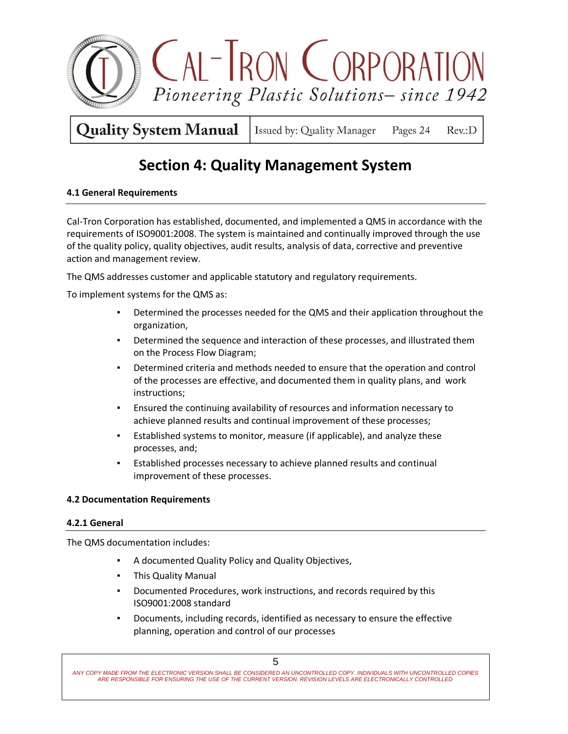

**Quality System Manual** Issued by: Quality Manager Pages 24 Rev.:D

### **Section 4: Quality Management System**

### **4.1 General Requirements**

Cal-Tron Corporation has established, documented, and implemented a QMS in accordance with the requirements of ISO9001:2008. The system is maintained and continually improved through the use of the quality policy, quality objectives, audit results, analysis of data, corrective and preventive action and management review.

The QMS addresses customer and applicable statutory and regulatory requirements.

To implement systems for the QMS as:

- Determined the processes needed for the QMS and their application throughout the organization,
- Determined the sequence and interaction of these processes, and illustrated them on the Process Flow Diagram;
- Determined criteria and methods needed to ensure that the operation and control of the processes are effective, and documented them in quality plans, and work instructions;
- Ensured the continuing availability of resources and information necessary to achieve planned results and continual improvement of these processes;
- Established systems to monitor, measure (if applicable), and analyze these processes, and;
- Established processes necessary to achieve planned results and continual improvement of these processes.

### **4.2 Documentation Requirements**

### **4.2.1 General**

The QMS documentation includes:

- A documented Quality Policy and Quality Objectives,
- This Quality Manual
- Documented Procedures, work instructions, and records required by this ISO9001:2008 standard
- Documents, including records, identified as necessary to ensure the effective planning, operation and control of our processes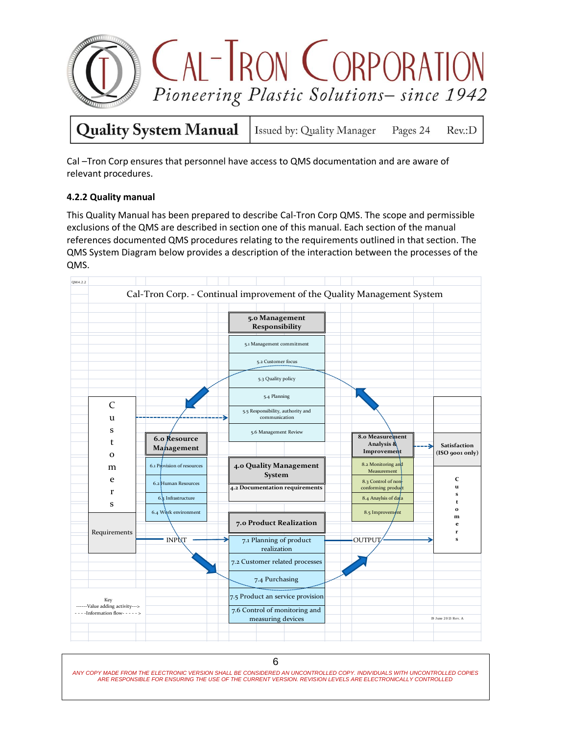

Pages 24

Rev.:D

Cal –Tron Corp ensures that personnel have access to QMS documentation and are aware of relevant procedures.

### **4.2.2 Quality manual**

This Quality Manual has been prepared to describe Cal-Tron Corp QMS. The scope and permissible exclusions of the QMS are described in section one of this manual. Each section of the manual references documented QMS procedures relating to the requirements outlined in that section. The QMS System Diagram below provides a description of the interaction between the processes of the QMS.

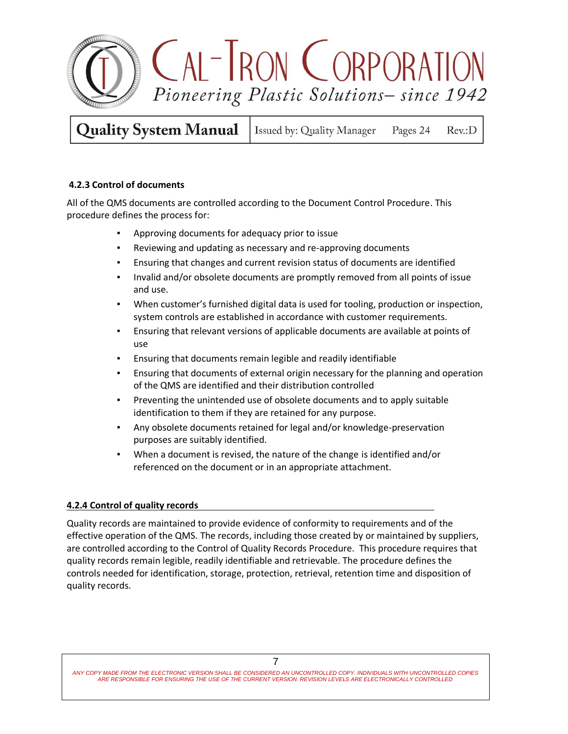

**Quality System Manual** Issued by: Quality Manager Pages 24  $Rev: D$ 

### **4.2.3 Control of documents**

All of the QMS documents are controlled according to the Document Control Procedure. This procedure defines the process for:

- Approving documents for adequacy prior to issue
- Reviewing and updating as necessary and re-approving documents
- Ensuring that changes and current revision status of documents are identified
- Invalid and/or obsolete documents are promptly removed from all points of issue and use.
- When customer's furnished digital data is used for tooling, production or inspection, system controls are established in accordance with customer requirements.
- Ensuring that relevant versions of applicable documents are available at points of use
- Ensuring that documents remain legible and readily identifiable
- **•** Ensuring that documents of external origin necessary for the planning and operation of the QMS are identified and their distribution controlled
- **•** Preventing the unintended use of obsolete documents and to apply suitable identification to them if they are retained for any purpose.
- Any obsolete documents retained for legal and/or knowledge-preservation purposes are suitably identified.
- When a document is revised, the nature of the change is identified and/or referenced on the document or in an appropriate attachment.

### **4.2.4 Control of quality records**

Quality records are maintained to provide evidence of conformity to requirements and of the effective operation of the QMS. The records, including those created by or maintained by suppliers, are controlled according to the Control of Quality Records Procedure. This procedure requires that quality records remain legible, readily identifiable and retrievable. The procedure defines the controls needed for identification, storage, protection, retrieval, retention time and disposition of quality records.

*ANY COPY MADE FROM THE ELECTRONIC VERSION SHALL BE CONSIDERED AN UNCONTROLLED COPY. INDIVIDUALS WITH UNCONTROLLED COPIES ARE RESPONSIBLE FOR ENSURING THE USE OF THE CURRENT VERSION. REVISION LEVELS ARE ELECTRONICALLY CONTROLLED*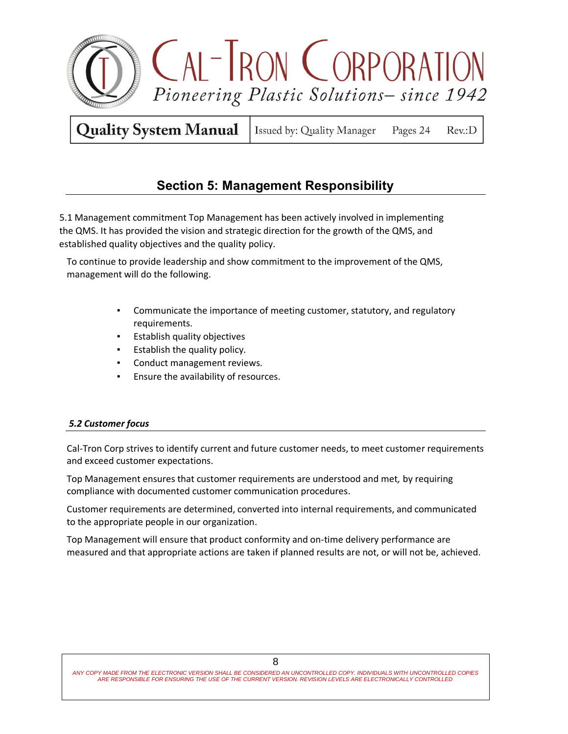

Issued by: Quality Manager Pages 24  $Rev: D$ 

### **Section 5: Management Responsibility**

 5.1 Management commitment Top Management has been actively involved in implementing the QMS. It has provided the vision and strategic direction for the growth of the QMS, and established quality objectives and the quality policy.

To continue to provide leadership and show commitment to the improvement of the QMS, management will do the following.

- Communicate the importance of meeting customer, statutory, and regulatory requirements.
- **Establish quality objectives**
- Establish the quality policy*.*
- Conduct management reviews.
- Ensure the availability of resources.

### *5.2 Customer focus*

Cal-Tron Corp strives to identify current and future customer needs, to meet customer requirements and exceed customer expectations.

Top Management ensures that customer requirements are understood and met*,* by requiring compliance with documented customer communication procedures.

Customer requirements are determined, converted into internal requirements, and communicated to the appropriate people in our organization.

Top Management will ensure that product conformity and on-time delivery performance are measured and that appropriate actions are taken if planned results are not, or will not be, achieved.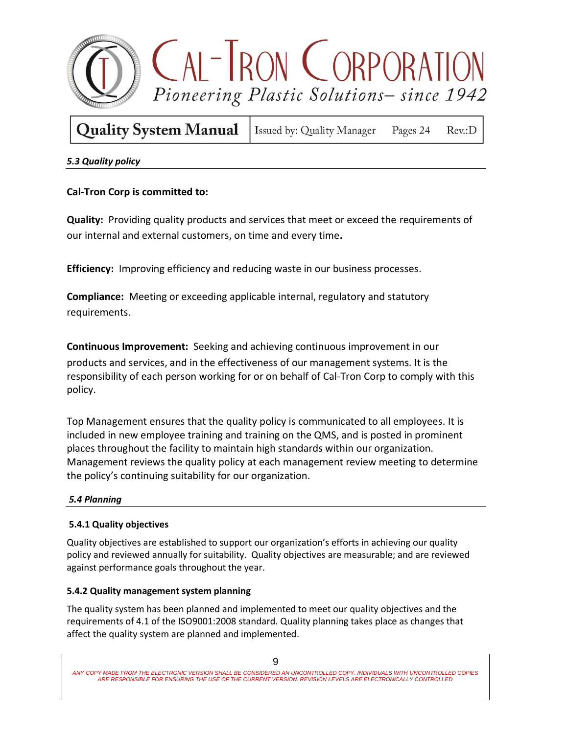

| <b>Quality System Manual</b>   Issued by: Quality Manager Pages 24 Rev.:D |  |  |  |
|---------------------------------------------------------------------------|--|--|--|
|---------------------------------------------------------------------------|--|--|--|

### *5.3 Quality policy*

### **Cal-Tron Corp is committed to:**

**Quality:** Providing quality products and services that meet or exceed the requirements of our internal and external customers, on time and every time**.** 

**Efficiency:** Improving efficiency and reducing waste in our business processes.

**Compliance:** Meeting or exceeding applicable internal, regulatory and statutory requirements.

**Continuous Improvement:** Seeking and achieving continuous improvement in our products and services, and in the effectiveness of our management systems. It is the responsibility of each person working for or on behalf of Cal-Tron Corp to comply with this policy.

Top Management ensures that the quality policy is communicated to all employees. It is included in new employee training and training on the QMS, and is posted in prominent places throughout the facility to maintain high standards within our organization. Management reviews the quality policy at each management review meeting to determine the policy's continuing suitability for our organization.

### *5.4 Planning*

### **5.4.1 Quality objectives**

Quality objectives are established to support our organization's efforts in achieving our quality policy and reviewed annually for suitability. Quality objectives are measurable; and are reviewed against performance goals throughout the year.

### **5.4.2 Quality management system planning**

The quality system has been planned and implemented to meet our quality objectives and the requirements of 4.1 of the ISO9001:2008 standard. Quality planning takes place as changes that affect the quality system are planned and implemented.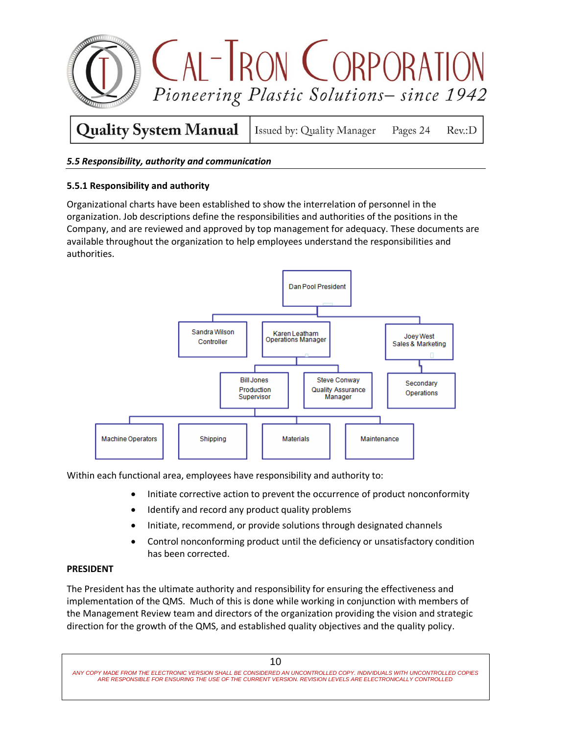

### *5.5 Responsibility, authority and communication*

### **5.5.1 Responsibility and authority**

Organizational charts have been established to show the interrelation of personnel in the organization. Job descriptions define the responsibilities and authorities of the positions in the Company, and are reviewed and approved by top management for adequacy. These documents are available throughout the organization to help employees understand the responsibilities and authorities.



Within each functional area, employees have responsibility and authority to:

- Initiate corrective action to prevent the occurrence of product nonconformity
- Identify and record any product quality problems
- Initiate, recommend, or provide solutions through designated channels
- Control nonconforming product until the deficiency or unsatisfactory condition has been corrected.

#### **PRESIDENT**

The President has the ultimate authority and responsibility for ensuring the effectiveness and implementation of the QMS. Much of this is done while working in conjunction with members of the Management Review team and directors of the organization providing the vision and strategic direction for the growth of the QMS, and established quality objectives and the quality policy.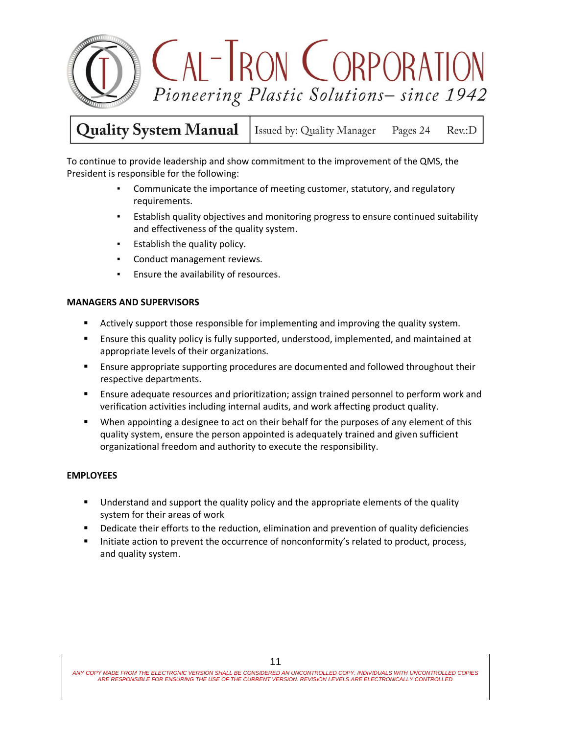

Issued by: Quality Manager Pages 24  $Rev: D$ 

To continue to provide leadership and show commitment to the improvement of the QMS, the President is responsible for the following:

- Communicate the importance of meeting customer, statutory, and regulatory requirements.
- Establish quality objectives and monitoring progress to ensure continued suitability and effectiveness of the quality system.
- Establish the quality policy*.*
- Conduct management reviews.
- Ensure the availability of resources.

### **MANAGERS AND SUPERVISORS**

- Actively support those responsible for implementing and improving the quality system.
- Ensure this quality policy is fully supported, understood, implemented, and maintained at appropriate levels of their organizations.
- **Ensure appropriate supporting procedures are documented and followed throughout their** respective departments.
- Ensure adequate resources and prioritization; assign trained personnel to perform work and verification activities including internal audits, and work affecting product quality.
- When appointing a designee to act on their behalf for the purposes of any element of this quality system, ensure the person appointed is adequately trained and given sufficient organizational freedom and authority to execute the responsibility.

### **EMPLOYEES**

- **Understand and support the quality policy and the appropriate elements of the quality** system for their areas of work
- Dedicate their efforts to the reduction, elimination and prevention of quality deficiencies
- Initiate action to prevent the occurrence of nonconformity's related to product, process, and quality system.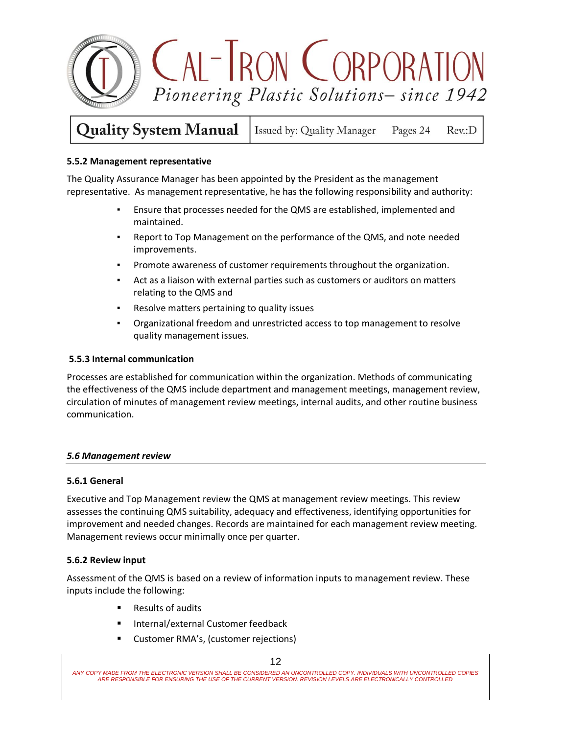

**Quality System Manual** Issued by: Quality Manager Pages 24  $Rev: D$ 

### **5.5.2 Management representative**

The Quality Assurance Manager has been appointed by the President as the management representative. As management representative, he has the following responsibility and authority:

- Ensure that processes needed for the QMS are established, implemented and maintained.
- Report to Top Management on the performance of the QMS, and note needed improvements.
- Promote awareness of customer requirements throughout the organization.
- Act as a liaison with external parties such as customers or auditors on matters relating to the QMS and
- Resolve matters pertaining to quality issues
- Organizational freedom and unrestricted access to top management to resolve quality management issues.

#### **5.5.3 Internal communication**

Processes are established for communication within the organization. Methods of communicating the effectiveness of the QMS include department and management meetings, management review, circulation of minutes of management review meetings, internal audits, and other routine business communication.

### *5.6 Management review*

### **5.6.1 General**

Executive and Top Management review the QMS at management review meetings. This review assesses the continuing QMS suitability, adequacy and effectiveness, identifying opportunities for improvement and needed changes. Records are maintained for each management review meeting. Management reviews occur minimally once per quarter.

#### **5.6.2 Review input**

Assessment of the QMS is based on a review of information inputs to management review. These inputs include the following:

- Results of audits
- Internal/external Customer feedback
- Customer RMA's, (customer rejections)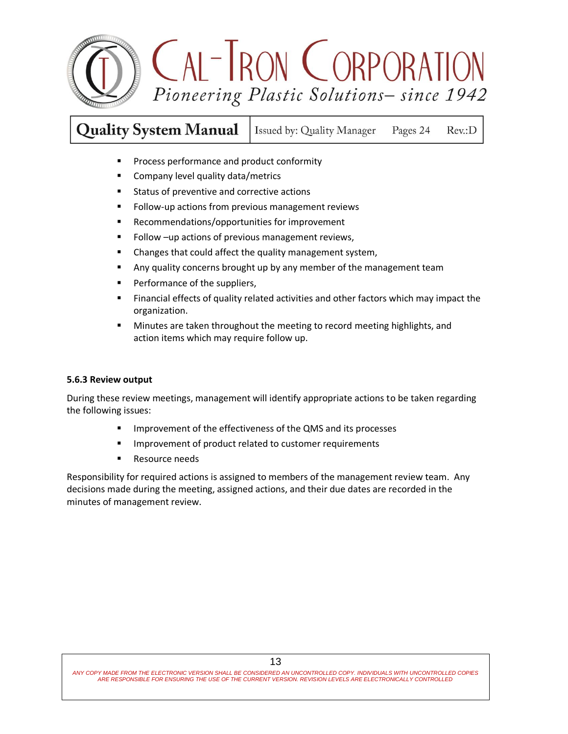

**Quality System Manual** Issued by: Quality Manager Pages 24 Rev.:D

- **Process performance and product conformity**
- **Company level quality data/metrics**
- **Status of preventive and corrective actions**
- **Fig. 3** Follow-up actions from previous management reviews
- Recommendations/opportunities for improvement
- **Follow** –up actions of previous management reviews,
- **EXEDENT** Changes that could affect the quality management system,
- **Any quality concerns brought up by any member of the management team**
- **Performance of the suppliers,**
- **Financial effects of quality related activities and other factors which may impact the** organization.
- **Minutes are taken throughout the meeting to record meeting highlights, and** action items which may require follow up.

#### **5.6.3 Review output**

During these review meetings, management will identify appropriate actions to be taken regarding the following issues:

- **IMPROVEMENT OF THE EFFECTIVENESS OF the QMS and its processes**
- **IMPROVEMENT OF PRODUCT RELATED FOR A LIMP CONTENT**
- **Resource needs**

Responsibility for required actions is assigned to members of the management review team. Any decisions made during the meeting, assigned actions, and their due dates are recorded in the minutes of management review.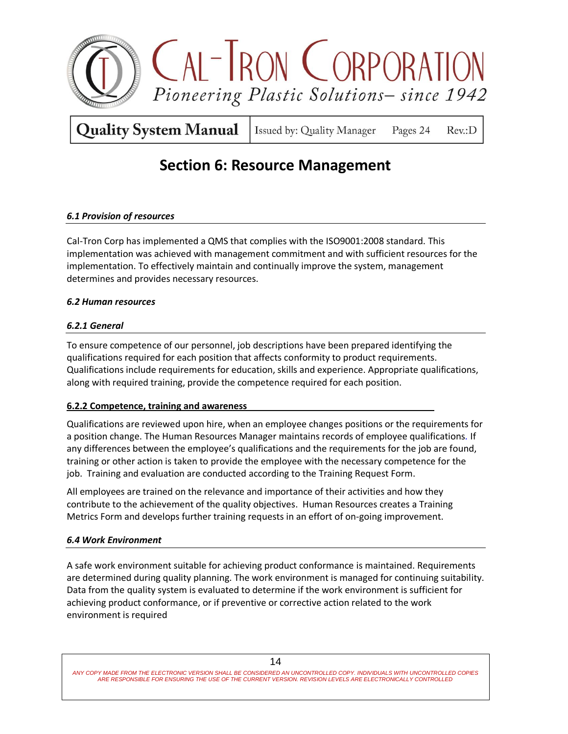

Issued by: Quality Manager Pages 24  $Rev: D$ 

### **Section 6: Resource Management**

### *6.1 Provision of resources*

Cal-Tron Corp has implemented a QMS that complies with the ISO9001:2008 standard. This implementation was achieved with management commitment and with sufficient resources for the implementation. To effectively maintain and continually improve the system, management determines and provides necessary resources.

### *6.2 Human resources*

### *6.2.1 General*

To ensure competence of our personnel, job descriptions have been prepared identifying the qualifications required for each position that affects conformity to product requirements. Qualifications include requirements for education, skills and experience. Appropriate qualifications, along with required training, provide the competence required for each position.

### **6.2.2 Competence, training and awareness**

Qualifications are reviewed upon hire, when an employee changes positions or the requirements for a position change. The Human Resources Manager maintains records of employee qualifications*.* If any differences between the employee's qualifications and the requirements for the job are found, training or other action is taken to provide the employee with the necessary competence for the job. Training and evaluation are conducted according to the Training Request Form.

All employees are trained on the relevance and importance of their activities and how they contribute to the achievement of the quality objectives. Human Resources creates a Training Metrics Form and develops further training requests in an effort of on-going improvement.

### *6.4 Work Environment*

A safe work environment suitable for achieving product conformance is maintained. Requirements are determined during quality planning. The work environment is managed for continuing suitability. Data from the quality system is evaluated to determine if the work environment is sufficient for achieving product conformance, or if preventive or corrective action related to the work environment is required

14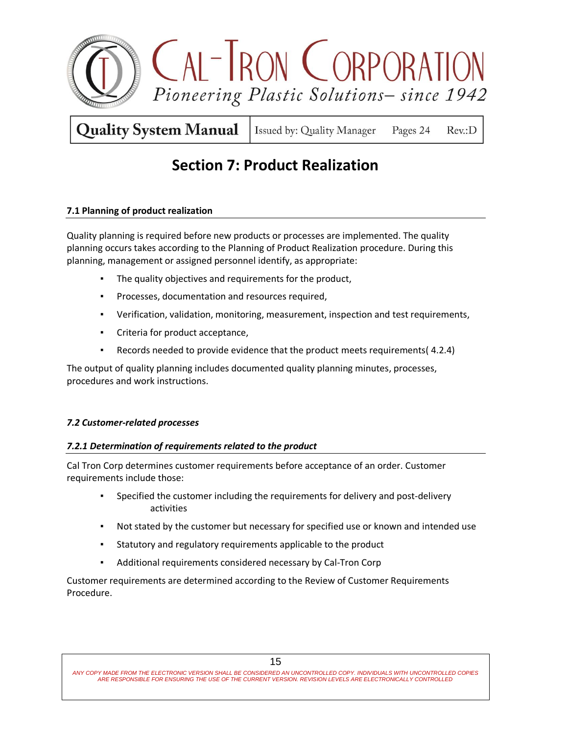

Issued by: Quality Manager Pages 24  $Rev: D$ 

## **Section 7: Product Realization**

### **7.1 Planning of product realization**

Quality planning is required before new products or processes are implemented. The quality planning occurs takes according to the Planning of Product Realization procedure. During this planning, management or assigned personnel identify, as appropriate:

- The quality objectives and requirements for the product,
- Processes, documentation and resources required,
- Verification, validation, monitoring, measurement, inspection and test requirements,
- Criteria for product acceptance,
- Records needed to provide evidence that the product meets requirements( 4.2.4)

The output of quality planning includes documented quality planning minutes, processes, procedures and work instructions.

### *7.2 Customer-related processes*

### *7.2.1 Determination of requirements related to the product*

Cal Tron Corp determines customer requirements before acceptance of an order. Customer requirements include those:

- Specified the customer including the requirements for delivery and post-delivery activities
- Not stated by the customer but necessary for specified use or known and intended use
- Statutory and regulatory requirements applicable to the product
- Additional requirements considered necessary by Cal-Tron Corp

Customer requirements are determined according to the Review of Customer Requirements Procedure.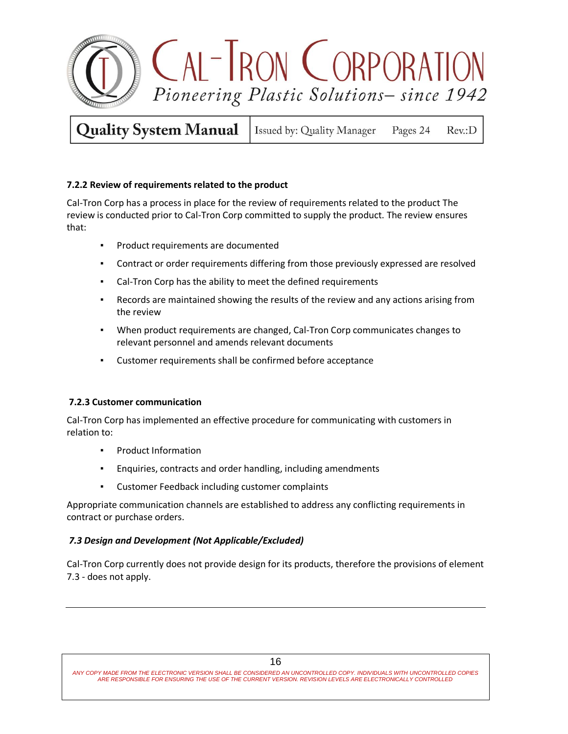

**Quality System Manual** Issued by: Quality Manager Pages 24

### $Rev: D$

### **7.2.2 Review of requirements related to the product**

Cal-Tron Corp has a process in place for the review of requirements related to the product The review is conducted prior to Cal-Tron Corp committed to supply the product. The review ensures that:

- Product requirements are documented
- Contract or order requirements differing from those previously expressed are resolved
- Cal-Tron Corp has the ability to meet the defined requirements
- **•** Records are maintained showing the results of the review and any actions arising from the review
- When product requirements are changed, Cal-Tron Corp communicates changes to relevant personnel and amends relevant documents
- Customer requirements shall be confirmed before acceptance

### **7.2.3 Customer communication**

Cal-Tron Corp has implemented an effective procedure for communicating with customers in relation to:

- Product Information
- Enquiries, contracts and order handling, including amendments
- Customer Feedback including customer complaints

Appropriate communication channels are established to address any conflicting requirements in contract or purchase orders.

### *7.3 Design and Development (Not Applicable/Excluded)*

Cal-Tron Corp currently does not provide design for its products, therefore the provisions of element 7.3 - does not apply.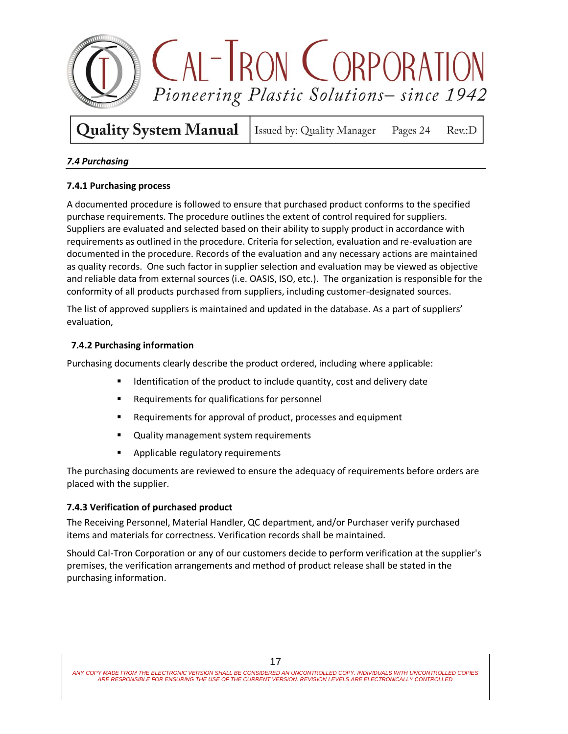

**Quality System Manual** Issued by: Quality Manager

 $Rev: D$ 

Pages 24

### *7.4 Purchasing*

### **7.4.1 Purchasing process**

A documented procedure is followed to ensure that purchased product conforms to the specified purchase requirements. The procedure outlines the extent of control required for suppliers. Suppliers are evaluated and selected based on their ability to supply product in accordance with requirements as outlined in the procedure. Criteria for selection, evaluation and re-evaluation are documented in the procedure. Records of the evaluation and any necessary actions are maintained as quality records. One such factor in supplier selection and evaluation may be viewed as objective and reliable data from external sources (i.e. OASIS, ISO, etc.). The organization is responsible for the conformity of all products purchased from suppliers, including customer-designated sources.

The list of approved suppliers is maintained and updated in the database. As a part of suppliers' evaluation,

### **7.4.2 Purchasing information**

Purchasing documents clearly describe the product ordered, including where applicable:

- Identification of the product to include quantity, cost and delivery date
- Requirements for qualifications for personnel
- **Requirements for approval of product, processes and equipment**
- **Quality management system requirements**
- Applicable regulatory requirements

The purchasing documents are reviewed to ensure the adequacy of requirements before orders are placed with the supplier.

### **7.4.3 Verification of purchased product**

The Receiving Personnel, Material Handler, QC department, and/or Purchaser verify purchased items and materials for correctness. Verification records shall be maintained.

Should Cal-Tron Corporation or any of our customers decide to perform verification at the supplier's premises, the verification arrangements and method of product release shall be stated in the purchasing information.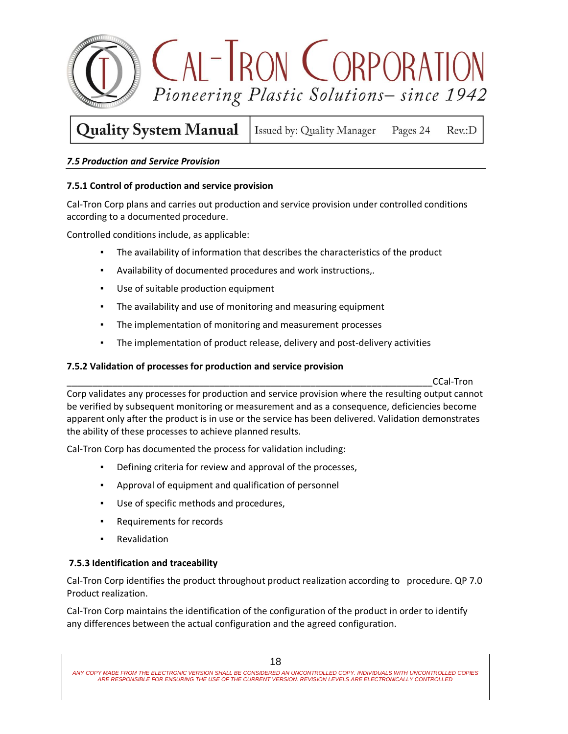

#### **Quality System Manual** Issued by: Quality Manager Pages 24  $Rev: D$

### *7.5 Production and Service Provision*

### **7.5.1 Control of production and service provision**

Cal-Tron Corp plans and carries out production and service provision under controlled conditions according to a documented procedure.

Controlled conditions include, as applicable:

- The availability of information that describes the characteristics of the product
- Availability of documented procedures and work instructions,.
- Use of suitable production equipment
- The availability and use of monitoring and measuring equipment
- The implementation of monitoring and measurement processes
- The implementation of product release, delivery and post-delivery activities

### **7.5.2 Validation of processes for production and service provision**

\_\_\_\_\_\_\_\_\_\_\_\_\_\_\_\_\_\_\_\_\_\_\_\_\_\_\_\_\_\_\_\_\_\_\_\_\_\_\_\_\_\_\_\_\_\_\_\_\_\_\_\_\_\_\_\_\_\_\_\_\_\_\_\_\_\_\_\_\_\_\_\_CCal-Tron

Corp validates any processes for production and service provision where the resulting output cannot be verified by subsequent monitoring or measurement and as a consequence, deficiencies become apparent only after the product is in use or the service has been delivered. Validation demonstrates the ability of these processes to achieve planned results.

Cal-Tron Corp has documented the process for validation including:

- Defining criteria for review and approval of the processes,
- Approval of equipment and qualification of personnel
- Use of specific methods and procedures,
- Requirements for records
- Revalidation

### **7.5.3 Identification and traceability**

Cal-Tron Corp identifies the product throughout product realization according to procedure. QP 7.0 Product realization.

Cal-Tron Corp maintains the identification of the configuration of the product in order to identify any differences between the actual configuration and the agreed configuration.

ANY COPY MADE FROM THE ELECTRONIC VERSION SHALL BE CONSIDERED AN UNCONTROLLED COPY. INDIVIDUALS WITH UNCONTROLLED COPIES<br>ARE RESPONSIBLE FOR ENSURING THE USE OF THE CURRENT VERSION. REVISION LEVELS ARE ELECTRONICALLY CONTR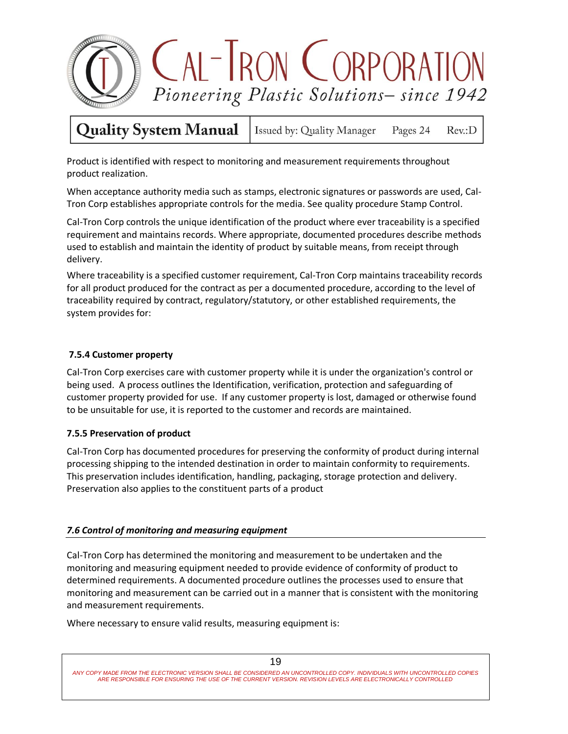

Issued by: Quality Manager Pages 24  $Rev: D$ 

Product is identified with respect to monitoring and measurement requirements throughout product realization.

When acceptance authority media such as stamps, electronic signatures or passwords are used, Cal-Tron Corp establishes appropriate controls for the media. See quality procedure Stamp Control.

Cal-Tron Corp controls the unique identification of the product where ever traceability is a specified requirement and maintains records. Where appropriate, documented procedures describe methods used to establish and maintain the identity of product by suitable means, from receipt through delivery.

Where traceability is a specified customer requirement, Cal-Tron Corp maintains traceability records for all product produced for the contract as per a documented procedure, according to the level of traceability required by contract, regulatory/statutory, or other established requirements, the system provides for:

### **7.5.4 Customer property**

Cal-Tron Corp exercises care with customer property while it is under the organization's control or being used. A process outlines the Identification, verification, protection and safeguarding of customer property provided for use. If any customer property is lost, damaged or otherwise found to be unsuitable for use, it is reported to the customer and records are maintained.

### **7.5.5 Preservation of product**

Cal-Tron Corp has documented procedures for preserving the conformity of product during internal processing shipping to the intended destination in order to maintain conformity to requirements. This preservation includes identification, handling, packaging, storage protection and delivery. Preservation also applies to the constituent parts of a product

### *7.6 Control of monitoring and measuring equipment*

Cal-Tron Corp has determined the monitoring and measurement to be undertaken and the monitoring and measuring equipment needed to provide evidence of conformity of product to determined requirements. A documented procedure outlines the processes used to ensure that monitoring and measurement can be carried out in a manner that is consistent with the monitoring and measurement requirements.

Where necessary to ensure valid results, measuring equipment is: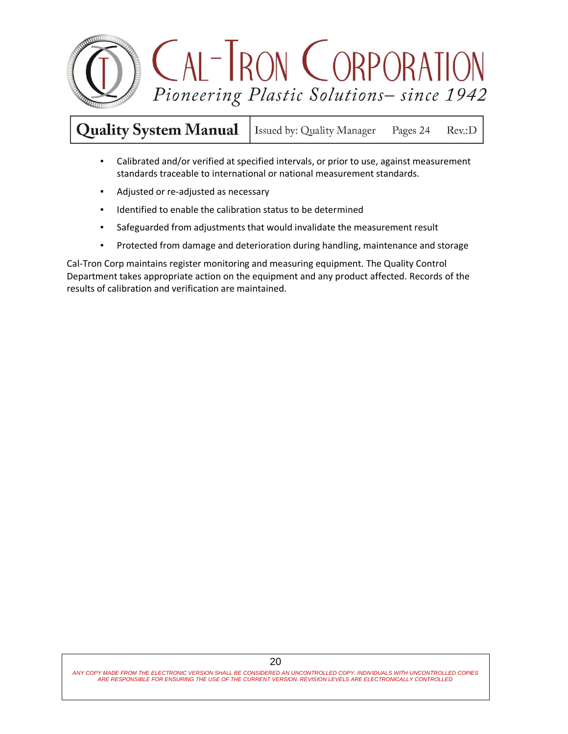

**Quality System Manual** Issued by: Quality Manager Pages 24 Rev.:D

- Calibrated and/or verified at specified intervals, or prior to use, against measurement standards traceable to international or national measurement standards.
- Adjusted or re-adjusted as necessary
- Identified to enable the calibration status to be determined
- Safeguarded from adjustments that would invalidate the measurement result
- Protected from damage and deterioration during handling, maintenance and storage

Cal-Tron Corp maintains register monitoring and measuring equipment. The Quality Control Department takes appropriate action on the equipment and any product affected. Records of the results of calibration and verification are maintained.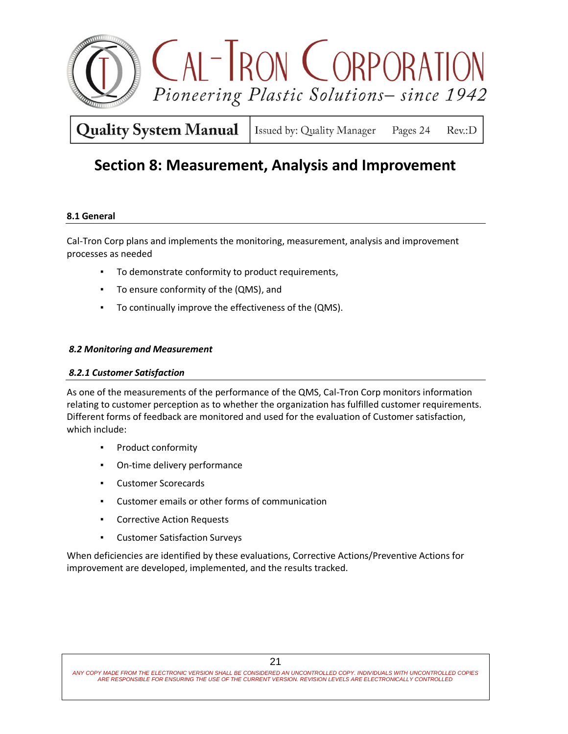

Issued by: Quality Manager Pages 24  $Rev: D$ 

## **Section 8: Measurement, Analysis and Improvement**

### **8.1 General**

Cal-Tron Corp plans and implements the monitoring, measurement, analysis and improvement processes as needed

- To demonstrate conformity to product requirements,
- To ensure conformity of the (QMS), and
- To continually improve the effectiveness of the (QMS).

### *8.2 Monitoring and Measurement*

### *8.2.1 Customer Satisfaction*

As one of the measurements of the performance of the QMS, Cal-Tron Corp monitors information relating to customer perception as to whether the organization has fulfilled customer requirements. Different forms of feedback are monitored and used for the evaluation of Customer satisfaction, which include:

- Product conformity
- On-time delivery performance
- Customer Scorecards
- Customer emails or other forms of communication
- Corrective Action Requests
- Customer Satisfaction Surveys

When deficiencies are identified by these evaluations, Corrective Actions/Preventive Actions for improvement are developed, implemented, and the results tracked.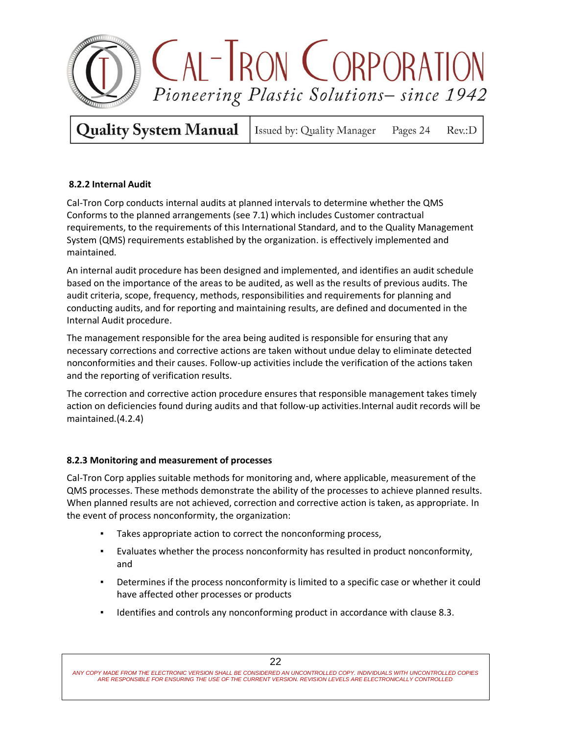

Issued by: Quality Manager Pages 24  $Rev: D$ 

### **8.2.2 Internal Audit**

Cal-Tron Corp conducts internal audits at planned intervals to determine whether the QMS Conforms to the planned arrangements (see 7.1) which includes Customer contractual requirements, to the requirements of this International Standard, and to the Quality Management System (QMS) requirements established by the organization. is effectively implemented and maintained.

An internal audit procedure has been designed and implemented, and identifies an audit schedule based on the importance of the areas to be audited, as well as the results of previous audits. The audit criteria, scope, frequency, methods, responsibilities and requirements for planning and conducting audits, and for reporting and maintaining results, are defined and documented in the Internal Audit procedure.

The management responsible for the area being audited is responsible for ensuring that any necessary corrections and corrective actions are taken without undue delay to eliminate detected nonconformities and their causes. Follow-up activities include the verification of the actions taken and the reporting of verification results.

The correction and corrective action procedure ensures that responsible management takes timely action on deficiencies found during audits and that follow-up activities.Internal audit records will be maintained.(4.2.4)

### **8.2.3 Monitoring and measurement of processes**

Cal-Tron Corp applies suitable methods for monitoring and, where applicable, measurement of the QMS processes. These methods demonstrate the ability of the processes to achieve planned results. When planned results are not achieved, correction and corrective action is taken, as appropriate. In the event of process nonconformity, the organization:

- Takes appropriate action to correct the nonconforming process,
- Evaluates whether the process nonconformity has resulted in product nonconformity, and
- Determines if the process nonconformity is limited to a specific case or whether it could have affected other processes or products
- Identifies and controls any nonconforming product in accordance with clause 8.3.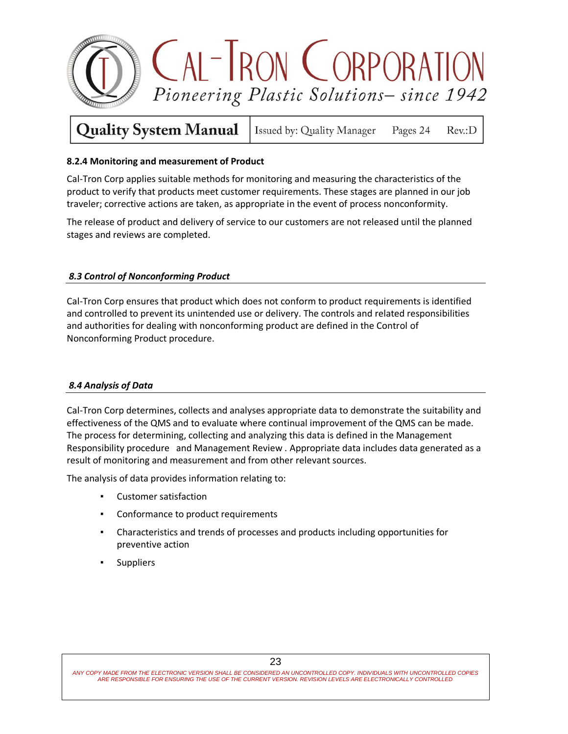

Issued by: Quality Manager Pages 24 Rev.:D

### **8.2.4 Monitoring and measurement of Product**

Cal-Tron Corp applies suitable methods for monitoring and measuring the characteristics of the product to verify that products meet customer requirements. These stages are planned in our job traveler; corrective actions are taken, as appropriate in the event of process nonconformity.

The release of product and delivery of service to our customers are not released until the planned stages and reviews are completed.

### *8.3 Control of Nonconforming Product*

Cal-Tron Corp ensures that product which does not conform to product requirements is identified and controlled to prevent its unintended use or delivery. The controls and related responsibilities and authorities for dealing with nonconforming product are defined in the Control of Nonconforming Product procedure.

### *8.4 Analysis of Data*

Cal-Tron Corp determines, collects and analyses appropriate data to demonstrate the suitability and effectiveness of the QMS and to evaluate where continual improvement of the QMS can be made. The process for determining, collecting and analyzing this data is defined in the Management Responsibility procedure and Management Review . Appropriate data includes data generated as a result of monitoring and measurement and from other relevant sources.

The analysis of data provides information relating to:

- Customer satisfaction
- Conformance to product requirements
- Characteristics and trends of processes and products including opportunities for preventive action
- Suppliers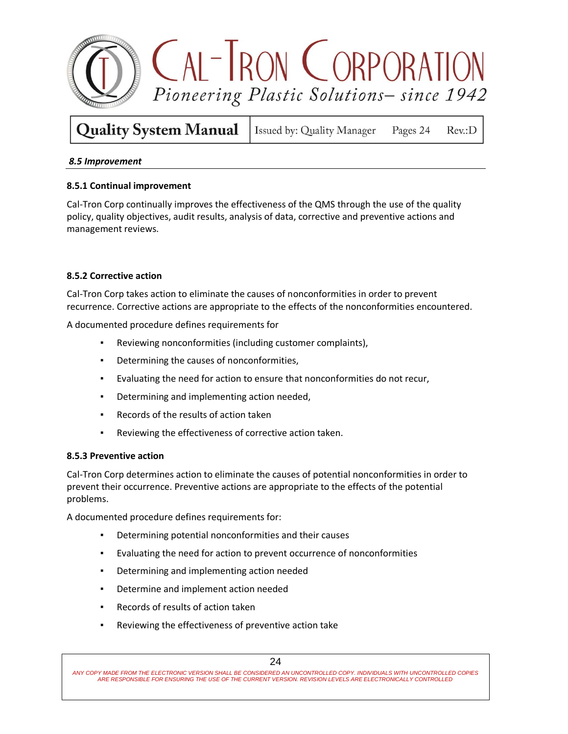

**Quality System Manual** Issued by: Quality Manager Pages 24  $Rev: D$ 

### *8.5 Improvement*

### **8.5.1 Continual improvement**

Cal-Tron Corp continually improves the effectiveness of the QMS through the use of the quality policy, quality objectives, audit results, analysis of data, corrective and preventive actions and management reviews.

### **8.5.2 Corrective action**

Cal-Tron Corp takes action to eliminate the causes of nonconformities in order to prevent recurrence. Corrective actions are appropriate to the effects of the nonconformities encountered.

A documented procedure defines requirements for

- Reviewing nonconformities (including customer complaints),
- Determining the causes of nonconformities,
- Evaluating the need for action to ensure that nonconformities do not recur,
- Determining and implementing action needed,
- Records of the results of action taken
- Reviewing the effectiveness of corrective action taken.

### **8.5.3 Preventive action**

Cal-Tron Corp determines action to eliminate the causes of potential nonconformities in order to prevent their occurrence. Preventive actions are appropriate to the effects of the potential problems.

A documented procedure defines requirements for:

- Determining potential nonconformities and their causes
- Evaluating the need for action to prevent occurrence of nonconformities
- Determining and implementing action needed
- Determine and implement action needed
- Records of results of action taken
- Reviewing the effectiveness of preventive action take